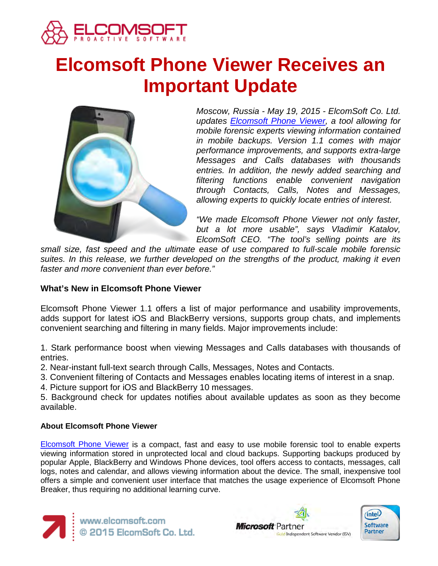

# **Elcomsoft Phone Viewer Receives an Important Update**



*Moscow, Russia - May 19, 2015 - ElcomSoft Co. Ltd. updates [Elcomsoft Phone Viewer,](https://www.elcomsoft.com/epv.html) a tool allowing for mobile forensic experts viewing information contained in mobile backups. Version 1.1 comes with major performance improvements, and supports extra-large Messages and Calls databases with thousands entries. In addition, the newly added searching and filtering functions enable convenient navigation through Contacts, Calls, Notes and Messages, allowing experts to quickly locate entries of interest.*

*"We made Elcomsoft Phone Viewer not only faster, but a lot more usable", says Vladimir Katalov, ElcomSoft CEO. "The tool's selling points are its* 

*small size, fast speed and the ultimate ease of use compared to full-scale mobile forensic*  suites. In this release, we further developed on the strengths of the product, making it even *faster and more convenient than ever before."*

## **What's New in Elcomsoft Phone Viewer**

Elcomsoft Phone Viewer 1.1 offers a list of major performance and usability improvements, adds support for latest iOS and BlackBerry versions, supports group chats, and implements convenient searching and filtering in many fields. Major improvements include:

1. Stark performance boost when viewing Messages and Calls databases with thousands of entries.

- 2. Near-instant full-text search through Calls, Messages, Notes and Contacts.
- 3. Convenient filtering of Contacts and Messages enables locating items of interest in a snap.
- 4. Picture support for iOS and BlackBerry 10 messages.

5. Background check for updates notifies about available updates as soon as they become available.

### **About Elcomsoft Phone Viewer**

[Elcomsoft Phone Viewer](https://www.elcomsoft.com/epv.html) is a compact, fast and easy to use mobile forensic tool to enable experts viewing information stored in unprotected local and cloud backups. Supporting backups produced by popular Apple, BlackBerry and Windows Phone devices, tool offers access to contacts, messages, call logs, notes and calendar, and allows viewing information about the device. The small, inexpensive tool offers a simple and convenient user interface that matches the usage experience of Elcomsoft Phone Breaker, thus requiring no additional learning curve.